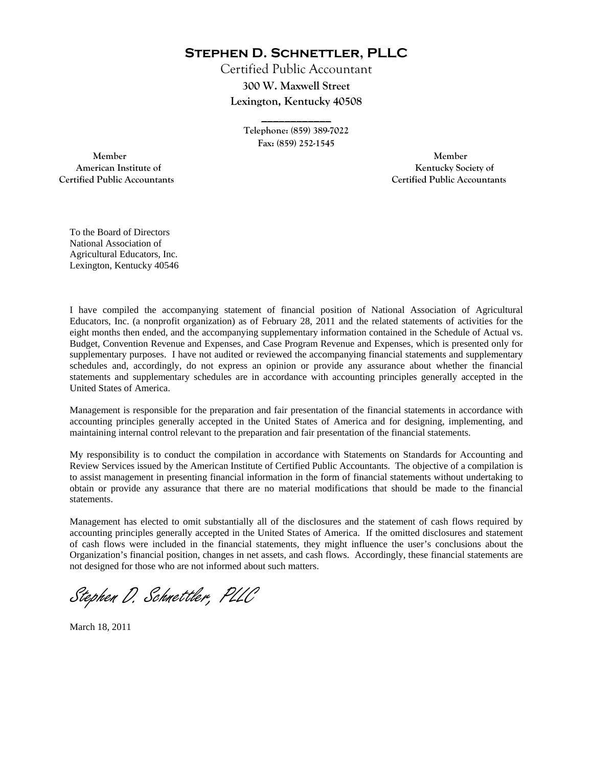**Stephen D. Schnettler, PLLC**

Certified Public Accountant **300 W. Maxwell Street Lexington, Kentucky 40508** 

> **\_\_\_\_\_\_\_\_\_\_\_\_ Telephone: (859) 389-7022 Fax: (859) 252-1545**

 **Member Member Certified Public Accountants Certified Public Accountants** 

American Institute of **Kentucky Society of American Institute of** 

To the Board of Directors National Association of Agricultural Educators, Inc. Lexington, Kentucky 40546

I have compiled the accompanying statement of financial position of National Association of Agricultural Educators, Inc. (a nonprofit organization) as of February 28, 2011 and the related statements of activities for the eight months then ended, and the accompanying supplementary information contained in the Schedule of Actual vs. Budget, Convention Revenue and Expenses, and Case Program Revenue and Expenses, which is presented only for supplementary purposes. I have not audited or reviewed the accompanying financial statements and supplementary schedules and, accordingly, do not express an opinion or provide any assurance about whether the financial statements and supplementary schedules are in accordance with accounting principles generally accepted in the United States of America.

Management is responsible for the preparation and fair presentation of the financial statements in accordance with accounting principles generally accepted in the United States of America and for designing, implementing, and maintaining internal control relevant to the preparation and fair presentation of the financial statements.

My responsibility is to conduct the compilation in accordance with Statements on Standards for Accounting and Review Services issued by the American Institute of Certified Public Accountants. The objective of a compilation is to assist management in presenting financial information in the form of financial statements without undertaking to obtain or provide any assurance that there are no material modifications that should be made to the financial statements.

Management has elected to omit substantially all of the disclosures and the statement of cash flows required by accounting principles generally accepted in the United States of America. If the omitted disclosures and statement of cash flows were included in the financial statements, they might influence the user's conclusions about the Organization's financial position, changes in net assets, and cash flows. Accordingly, these financial statements are not designed for those who are not informed about such matters.

Stephen D. Schnettler, PLLC

March 18, 2011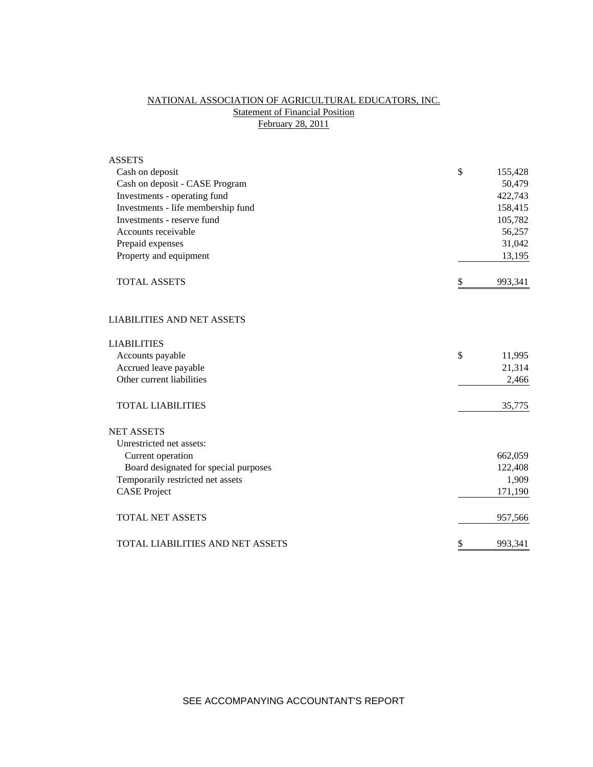# NATIONAL ASSOCIATION OF AGRICULTURAL EDUCATORS, INC. **Statement of Financial Position** February 28, 2011

| <b>ASSETS</b>                           |               |
|-----------------------------------------|---------------|
| Cash on deposit                         | \$<br>155,428 |
| Cash on deposit - CASE Program          | 50,479        |
| Investments - operating fund            | 422,743       |
| Investments - life membership fund      | 158,415       |
| Investments - reserve fund              | 105,782       |
| Accounts receivable                     | 56,257        |
| Prepaid expenses                        | 31,042        |
| Property and equipment                  | 13,195        |
| <b>TOTAL ASSETS</b>                     | \$<br>993,341 |
| <b>LIABILITIES AND NET ASSETS</b>       |               |
| <b>LIABILITIES</b>                      |               |
| Accounts payable                        | \$<br>11,995  |
| Accrued leave payable                   | 21,314        |
| Other current liabilities               | 2,466         |
| <b>TOTAL LIABILITIES</b>                | 35,775        |
| <b>NET ASSETS</b>                       |               |
| Unrestricted net assets:                |               |
| Current operation                       | 662,059       |
| Board designated for special purposes   | 122,408       |
| Temporarily restricted net assets       | 1,909         |
| <b>CASE Project</b>                     | 171,190       |
| <b>TOTAL NET ASSETS</b>                 | 957,566       |
| <b>TOTAL LIABILITIES AND NET ASSETS</b> | \$<br>993,341 |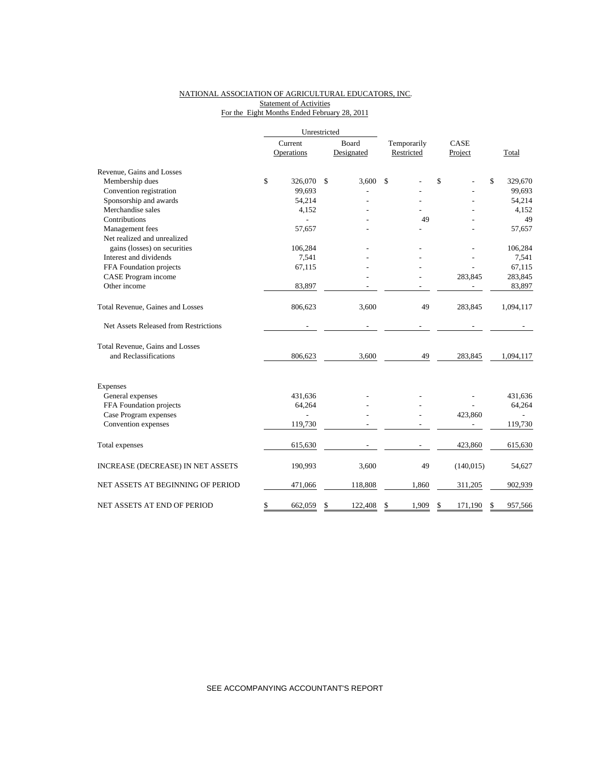#### NATIONAL ASSOCIATION OF AGRICULTURAL EDUCATORS, INC. **Statement of Activities** For the Eight Months Ended February 28, 2011

|                                       |         | Unrestricted |    |            |             |      |            |    |           |  |
|---------------------------------------|---------|--------------|----|------------|-------------|------|------------|----|-----------|--|
|                                       | Current |              |    | Board      | Temporarily | CASE |            |    |           |  |
|                                       |         | Operations   |    | Designated | Restricted  |      | Project    |    | Total     |  |
| Revenue, Gains and Losses             |         |              |    |            |             |      |            |    |           |  |
| Membership dues                       | \$      | 326,070      | \$ | 3.600      | \$          | \$   |            | \$ | 329,670   |  |
| Convention registration               |         | 99,693       |    |            |             |      |            |    | 99,693    |  |
| Sponsorship and awards                |         | 54,214       |    |            |             |      |            |    | 54,214    |  |
| Merchandise sales                     |         | 4,152        |    |            |             |      |            |    | 4,152     |  |
| Contributions                         |         |              |    |            | 49          |      |            |    | 49        |  |
| Management fees                       |         | 57,657       |    |            |             |      |            |    | 57,657    |  |
| Net realized and unrealized           |         |              |    |            |             |      |            |    |           |  |
| gains (losses) on securities          |         | 106,284      |    |            |             |      |            |    | 106,284   |  |
| Interest and dividends                |         | 7,541        |    |            |             |      |            |    | 7,541     |  |
| FFA Foundation projects               |         | 67,115       |    |            |             |      |            |    | 67,115    |  |
| CASE Program income                   |         |              |    |            |             |      | 283,845    |    | 283,845   |  |
| Other income                          |         | 83,897       |    |            |             |      |            |    | 83,897    |  |
| Total Revenue, Gaines and Losses      |         | 806,623      |    | 3,600      | 49          |      | 283,845    |    | 1,094,117 |  |
| Net Assets Released from Restrictions |         |              |    |            |             |      |            |    |           |  |
| Total Revenue, Gains and Losses       |         |              |    |            |             |      |            |    |           |  |
| and Reclassifications                 |         | 806,623      |    | 3,600      | 49          |      | 283,845    |    | 1,094,117 |  |
| <b>Expenses</b>                       |         |              |    |            |             |      |            |    |           |  |
| General expenses                      |         | 431,636      |    |            |             |      |            |    | 431,636   |  |
| FFA Foundation projects               |         | 64,264       |    |            |             |      |            |    | 64,264    |  |
| Case Program expenses                 |         | L.           |    |            |             |      | 423,860    |    |           |  |
| Convention expenses                   |         | 119,730      |    |            |             |      |            |    | 119,730   |  |
| Total expenses                        |         | 615,630      |    |            |             |      | 423,860    |    | 615,630   |  |
| INCREASE (DECREASE) IN NET ASSETS     |         | 190,993      |    | 3,600      | 49          |      | (140, 015) |    | 54,627    |  |
| NET ASSETS AT BEGINNING OF PERIOD     |         | 471,066      |    | 118,808    | 1,860       |      | 311,205    |    | 902,939   |  |
| NET ASSETS AT END OF PERIOD           | \$      | 662,059      | \$ | 122,408    | 1,909<br>\$ | \$   | 171,190    | \$ | 957,566   |  |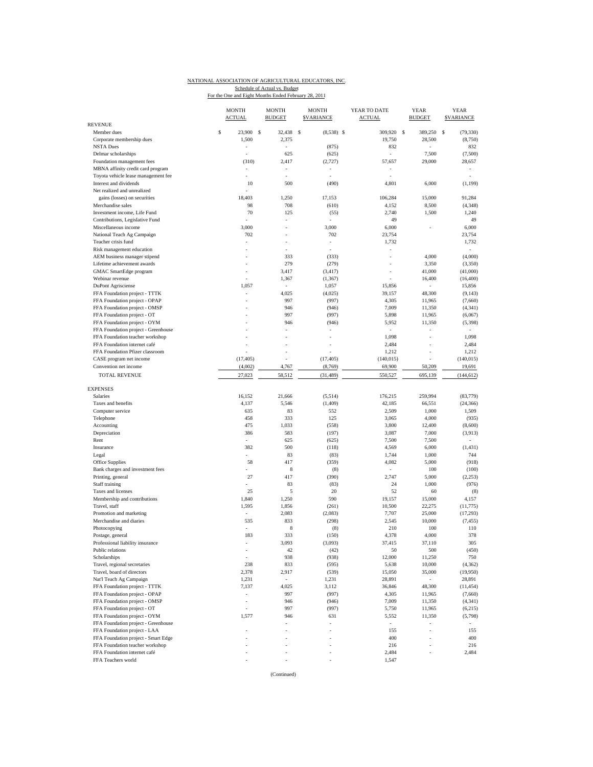### NATIONAL ASSOCIATION OF AGRICULTURAL EDUCATORS, INC. Schedule of Actual vs. Budget<br>For the One and Eight Months Ended February 28, 2011

|                                                              | <b>MONTH</b><br><b>ACTUAL</b> |                | <b>MONTH</b><br><b>BUDGET</b> | <b>MONTH</b><br><b>SVARIANCE</b> | YEAR TO DATE<br><b>ACTUAL</b> | <b>YEAR</b><br><b>BUDGET</b> | <b>YEAR</b><br><b><i>SVARIANCE</i></b> |
|--------------------------------------------------------------|-------------------------------|----------------|-------------------------------|----------------------------------|-------------------------------|------------------------------|----------------------------------------|
| <b>REVENUE</b>                                               |                               | 23,900 \$      |                               |                                  |                               |                              |                                        |
| Member dues<br>Corporate membership dues<br><b>NSTA Dues</b> | S                             | 1,500          | 32,438 \$<br>2,375<br>$\sim$  | $(8,538)$ \$<br>(875)            | 309,920 \$<br>19,750<br>832   | 389,250<br>28,500            | s<br>(79, 330)<br>(8,750)<br>832       |
| Delmar scholarships                                          |                               |                | 625                           | (625)                            |                               | 7,500                        | (7,500)                                |
| Foundation management fees                                   |                               | (310)          | 2,417                         | (2, 727)                         | 57,657                        | 29,000                       | 28,657                                 |
| MBNA affinity credit card program                            |                               |                |                               |                                  |                               |                              |                                        |
| Toyota vehicle lease management fee                          |                               |                | ÷,                            | ÷,                               |                               |                              | ×.                                     |
| Interest and dividends                                       |                               | 10             | 500                           | (490)                            | 4,801                         | 6,000                        | (1, 199)                               |
| Net realized and unrealized                                  |                               |                |                               |                                  |                               |                              |                                        |
| gains (losses) on securities                                 |                               | 18,403         | 1,250                         | 17,153                           | 106,284                       | 15,000                       | 91,284                                 |
| Merchandise sales                                            |                               | 98             | 708                           | (610)                            | 4,152                         | 8,500                        | (4, 348)                               |
| Investment income, Life Fund                                 |                               | 70             | 125                           | (55)                             | 2,740                         | 1,500                        | 1,240                                  |
| Contributions, Legislative Fund                              |                               |                |                               |                                  | 49                            |                              | 49                                     |
| Miscellaneous income                                         |                               | 3,000          |                               | 3,000                            | 6,000                         |                              | 6,000                                  |
| National Teach Ag Campaign                                   |                               | 702            |                               | 702                              | 23,754                        |                              | 23,754                                 |
| Teacher crisis fund                                          |                               |                |                               | $\bar{a}$                        | 1,732                         |                              | 1,732                                  |
| Risk management education                                    |                               |                |                               | ÷.                               | $\bar{a}$                     |                              | ÷                                      |
| AEM business manager stipend                                 |                               |                | 333                           | (333)                            | $\overline{\phantom{a}}$      | 4,000                        | (4,000)                                |
| Lifetime achievement awards                                  |                               |                | 279                           | (279)                            |                               | 3,350                        | (3,350)                                |
| GMAC SmartEdge program                                       |                               |                | 3,417                         | (3, 417)                         | $\overline{\phantom{a}}$      | 41,000                       | (41,000)                               |
| Webinar revenue                                              |                               | 1,057          | 1,367<br>÷                    | (1, 367)                         | 15,856                        | 16,400                       | (16, 400)                              |
| DuPont Agrisciense<br>FFA Foundation project - TTTK          |                               |                | 4,025                         | 1,057<br>(4,025)                 | 39,157                        | 48,300                       | 15,856<br>(9, 143)                     |
| FFA Foundation project - OPAP                                |                               |                | 997                           | (997)                            | 4,305                         | 11,965                       | (7,660)                                |
| FFA Foundation project - OMSP                                |                               |                | 946                           | (946)                            | 7,009                         | 11,350                       | (4, 341)                               |
| FFA Foundation project - OT                                  |                               |                | 997                           | (997)                            | 5,898                         | 11,965                       | (6,067)                                |
| FFA Foundation project - OYM                                 |                               |                | 946                           | (946)                            | 5,952                         | 11,350                       | (5, 398)                               |
| FFA Foundation project - Greenhouse                          |                               |                |                               |                                  | $\sim$                        | ٠                            | ÷                                      |
| FFA Foundation teacher workshop                              |                               |                |                               |                                  | 1,098                         |                              | 1,098                                  |
| FFA Foundation internet café                                 |                               |                |                               |                                  | 2,484                         | ä,                           | 2,484                                  |
| FFA Foundation Pfizer classroom                              |                               |                |                               |                                  | 1,212                         |                              | 1,212                                  |
| CASE program net income                                      |                               | (17, 405)      |                               | (17, 405)                        | (140, 015)                    |                              | (140, 015)                             |
| Convention net income                                        |                               | (4,002)        | 4,767                         | (8,769)                          | 69,900                        | 50,209                       | 19,691                                 |
| <b>TOTAL REVENUE</b>                                         |                               | 27,023         | 58,512                        | (31, 489)                        | 550,527                       | 695,139                      | (144, 612)                             |
| <b>EXPENSES</b>                                              |                               |                |                               |                                  |                               |                              |                                        |
| <b>Salaries</b>                                              |                               | 16,152         | 21,666                        | (5,514)                          | 176,215                       | 259,994                      | (83, 779)                              |
| Taxes and benefits                                           |                               | 4,137          | 5,546                         | (1, 409)                         | 42,185                        | 66,551                       | (24, 366)                              |
| Computer service                                             |                               | 635            | 83                            | 552                              | 2,509                         | 1,000                        | 1,509                                  |
| Telephone                                                    |                               | 458            | 333                           | 125                              | 3,065                         | 4,000                        | (935)                                  |
| Accounting                                                   |                               | 475            | 1,033                         | (558)                            | 3,800                         | 12,400                       | (8,600)                                |
| Depreciation                                                 |                               | 386            | 583                           | (197)                            | 3,087                         | 7,000                        | (3,913)                                |
| Rent                                                         |                               |                | 625                           | (625)                            | 7,500                         | 7,500                        | $\sim$                                 |
| Insurance                                                    |                               | 382            | 500                           | (118)                            | 4,569                         | 6,000                        | (1, 431)                               |
| Legal                                                        |                               | ÷,             | 83                            | (83)                             | 1,744                         | 1,000                        | 744                                    |
| Office Supplies                                              |                               | 58             | 417                           | (359)                            | 4,082                         | 5,000                        | (918)                                  |
| Bank charges and investment fees                             |                               | ä,             | 8                             | (8)                              | $\sim$                        | 100                          | (100)                                  |
| Printing, general                                            |                               | 27             | 417                           | (390)                            | 2,747                         | 5,000                        | (2, 253)                               |
| Staff training                                               |                               |                | 83                            | (83)                             | 24                            | 1,000                        | (976)                                  |
| Taxes and licenses                                           |                               | 25             | 5                             | 20                               | 52                            | 60                           | (8)                                    |
| Membership and contributions                                 |                               | 1,840          | 1,250                         | 590                              | 19,157                        | 15,000                       | 4,157                                  |
| Travel, staff                                                |                               | 1,595          | 1,856                         | (261)                            | 10,500                        | 22,275                       | (11, 775)                              |
| Promotion and marketing                                      |                               |                | 2,083                         | (2,083)                          | 7,707                         | 25,000                       | (17, 293)                              |
| Merchandise and diaries                                      |                               | 535            | 833                           | (298)                            | 2,545                         | 10,000                       | (7, 455)                               |
| Photocopying                                                 |                               |                | 8                             | (8)                              | 210                           | 100                          | 110                                    |
| Postage, general                                             |                               | 183            | 333                           | (150)                            | 4,378                         | 4,000                        | 378                                    |
| Professional liability insurance                             |                               |                | 3,093                         | (3,093)                          | 37,415                        | 37,110                       | 305                                    |
| Public relations                                             |                               |                | $42\,$                        | (42)                             | 50                            | 500                          | (450)                                  |
| Scholarships                                                 |                               |                | 938<br>833                    | (938)                            | 12,000                        | 11,250                       | 750                                    |
| Travel, regional secretaries<br>Travel, board of directors   |                               | 238            | 2,917                         | (595)                            | 5,638                         | 10,000                       | (4, 362)                               |
| Nat'l Teach Ag Campaign                                      |                               | 2,378<br>1,231 | $\sim$                        | (539)<br>1,231                   | 15,050<br>28,891              | 35,000                       | (19,950)<br>28,891                     |
| FFA Foundation project - TTTK                                |                               | 7,137          | 4,025                         | 3,112                            | 36,846                        | ٠<br>48,300                  | (11, 454)                              |
| FFA Foundation project - OPAP                                |                               | $\bar{a}$      | 997                           | (997)                            | 4,305                         | 11,965                       | (7,660)                                |
| FFA Foundation project - OMSP                                |                               |                | 946                           | (946)                            | 7,009                         | 11,350                       | (4, 341)                               |
| FFA Foundation project - OT                                  |                               |                | 997                           | (997)                            | 5,750                         | 11,965                       | (6,215)                                |
| FFA Foundation project - OYM                                 |                               | 1,577          | 946                           | 631                              | 5,552                         | 11,350                       | (5,798)                                |
| FFA Foundation project - Greenhouse                          |                               |                |                               | $\sim$                           | $\overline{\phantom{a}}$      |                              | $\bar{a}$                              |
| FFA Foundation project - LAA                                 |                               |                |                               |                                  | 155                           | ÷.                           | 155                                    |
| FFA Foundation project - Smart Edge                          |                               |                |                               |                                  | 400                           |                              | 400                                    |
| FFA Foundation teacher workshop                              |                               |                |                               |                                  | 216                           |                              | 216                                    |
| FFA Foundation internet café                                 |                               |                |                               |                                  | 2,484                         |                              | 2,484                                  |
| FFA Teachers world                                           |                               |                |                               |                                  | 1,547                         |                              |                                        |
|                                                              |                               |                |                               |                                  |                               |                              |                                        |

(Continued)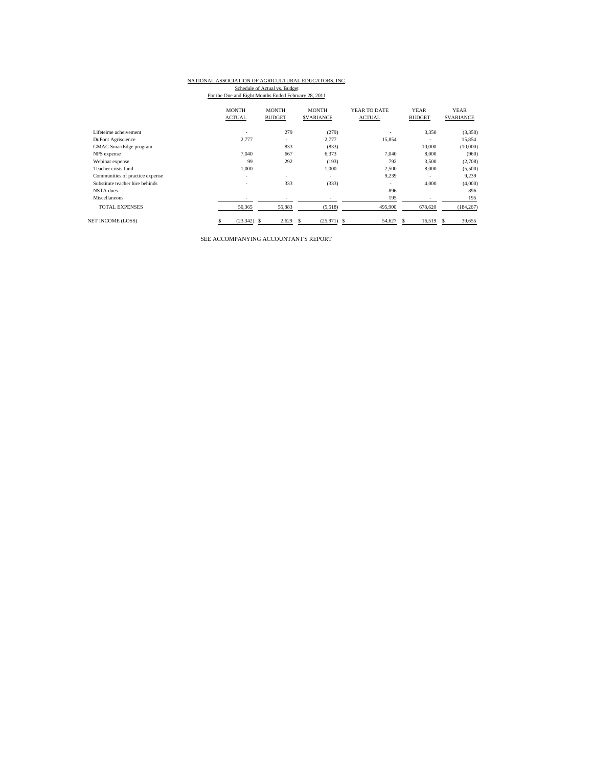### NATIONAL ASSOCIATION OF AGRICULTURAL EDUCATORS, INC. Schedule of Actual vs. Budget<br>For the One and Eight Months Ended February 28, 2011

|                                 | <b>MONTH</b>             | <b>MONTH</b>                 | <b>MONTH</b>        | YEAR TO DATE  | <b>YEAR</b>              | <b>YEAR</b>       |
|---------------------------------|--------------------------|------------------------------|---------------------|---------------|--------------------------|-------------------|
|                                 | <b>ACTUAL</b>            | <b>BUDGET</b>                | <b>SVARIANCE</b>    | <b>ACTUAL</b> | <b>BUDGET</b>            | <b>\$VARIANCE</b> |
| Lifeteime acheivement           | $\overline{\phantom{a}}$ | 279                          | (279)               |               | 3,350                    | (3,350)           |
| DuPont Agriscience              | 2,777                    | $\overline{\phantom{a}}$     | 2.777               | 15,854        | ۰                        | 15,854            |
| <b>GMAC</b> SmartEdge program   |                          | 833                          | (833)               | ۰.            | 10,000                   | (10,000)          |
| NPS expense                     | 7.040                    | 667                          | 6,373               | 7.040         | 8,000                    | (960)             |
| Webinar expense                 | 99                       | 292                          | (193)               | 792           | 3,500                    | (2,708)           |
| Teacher crisis fund             | 1.000                    | ٠                            | 1,000               | 2,500         | 8,000                    | (5,500)           |
| Communities of practice expense | $\overline{\phantom{a}}$ | ۰                            | ۰.                  | 9.239         |                          | 9.239             |
| Substitute teacher hire behinds | $\overline{\phantom{a}}$ | 333                          | (333)               | ۰             | 4,000                    | (4,000)           |
| NSTA dues                       | $\sim$                   | $\overline{\phantom{a}}$     | ٠                   | 896           | $\overline{\phantom{a}}$ | 896               |
| Miscellaneous                   | $\overline{\phantom{a}}$ | $\qquad \qquad \blacksquare$ |                     | 195           | ٠                        | 195               |
| <b>TOTAL EXPENSES</b>           | 50,365                   | 55,883                       | (5,518)             | 495,900       | 678,620                  | (184, 267)        |
| <b>NET INCOME (LOSS)</b>        | (23, 342)                | 2,629<br>S.                  | $(25,971)$ \$<br>S. | 54,627        | 16,519<br>S              | 39,655<br>s       |

SEE ACCOMPANYING ACCOUNTANT'S REPORT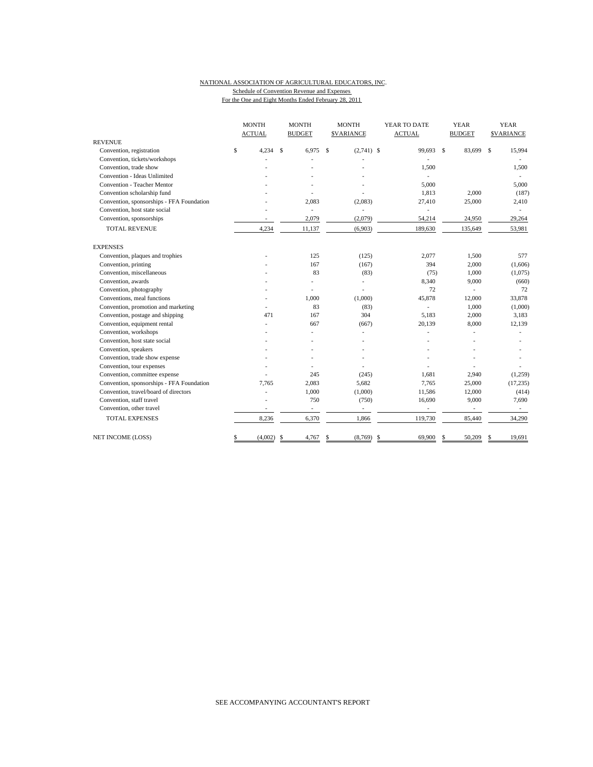## NATIONAL ASSOCIATION OF AGRICULTURAL EDUCATORS, INC. Schedule of Convention Revenue and Expenses

For the One and Eight Months Ended February 28, 2011

|                                           | <b>MONTH</b><br><b>ACTUAL</b> | <b>MONTH</b><br><b>BUDGET</b> | <b>MONTH</b><br><b>SVARIANCE</b> | YEAR TO DATE<br><b>ACTUAL</b> |     | <b>YEAR</b><br><b>BUDGET</b> |    | <b>YEAR</b><br><b>\$VARIANCE</b> |
|-------------------------------------------|-------------------------------|-------------------------------|----------------------------------|-------------------------------|-----|------------------------------|----|----------------------------------|
| <b>REVENUE</b>                            |                               |                               |                                  |                               |     |                              |    |                                  |
| Convention, registration                  | \$<br>4,234                   | \$<br>6,975                   | \$<br>$(2,741)$ \$               | 99,693                        | -\$ | 83,699                       | \$ | 15,994                           |
| Convention, tickets/workshops             |                               |                               |                                  |                               |     |                              |    |                                  |
| Convention, trade show                    |                               |                               |                                  | 1,500                         |     |                              |    | 1,500                            |
| Convention - Ideas Unlimited              |                               |                               |                                  | ٠                             |     |                              |    |                                  |
| Convention - Teacher Mentor               |                               |                               |                                  | 5,000                         |     |                              |    | 5,000                            |
| Convention scholarship fund               |                               |                               |                                  | 1,813                         |     | 2,000                        |    | (187)                            |
| Convention, sponsorships - FFA Foundation |                               | 2,083                         | (2,083)                          | 27,410                        |     | 25,000                       |    | 2,410                            |
| Convention, host state social             |                               | ÷,                            | L.                               | ٠                             |     |                              |    |                                  |
| Convention, sponsorships                  |                               | 2,079                         | (2,079)                          | 54,214                        |     | 24,950                       |    | 29,264                           |
| <b>TOTAL REVENUE</b>                      | 4,234                         | 11,137                        | (6,903)                          | 189,630                       |     | 135,649                      |    | 53,981                           |
| <b>EXPENSES</b>                           |                               |                               |                                  |                               |     |                              |    |                                  |
| Convention, plaques and trophies          |                               | 125                           | (125)                            | 2,077                         |     | 1,500                        |    | 577                              |
| Convention, printing                      |                               | 167                           | (167)                            | 394                           |     | 2,000                        |    | (1,606)                          |
| Convention, miscellaneous                 |                               | 83                            | (83)                             | (75)                          |     | 1,000                        |    | (1,075)                          |
| Convention, awards                        |                               | Ĭ.                            | L.                               | 8,340                         |     | 9,000                        |    | (660)                            |
| Convention, photography                   |                               | $\overline{a}$                |                                  | 72                            |     | $\overline{\phantom{a}}$     |    | 72                               |
| Conventions, meal functions               |                               | 1,000                         | (1,000)                          | 45,878                        |     | 12,000                       |    | 33,878                           |
| Convention, promotion and marketing       |                               | 83                            | (83)                             | ٠                             |     | 1,000                        |    | (1,000)                          |
| Convention, postage and shipping          | 471                           | 167                           | 304                              | 5,183                         |     | 2,000                        |    | 3,183                            |
| Convention, equipment rental              |                               | 667                           | (667)                            | 20,139                        |     | 8,000                        |    | 12,139                           |
| Convention, workshops                     |                               |                               |                                  |                               |     |                              |    |                                  |
| Convention, host state social             |                               |                               |                                  |                               |     |                              |    |                                  |
| Convention, speakers                      |                               |                               |                                  |                               |     |                              |    |                                  |
| Convention, trade show expense            |                               |                               |                                  |                               |     |                              |    |                                  |
| Convention, tour expenses                 |                               |                               |                                  |                               |     |                              |    |                                  |
| Convention, committee expense             |                               | 245                           | (245)                            | 1,681                         |     | 2,940                        |    | (1,259)                          |
| Convention, sponsorships - FFA Foundation | 7.765                         | 2,083                         | 5,682                            | 7,765                         |     | 25,000                       |    | (17, 235)                        |
| Convention, travel/board of directors     |                               | 1,000                         | (1,000)                          | 11,586                        |     | 12,000                       |    | (414)                            |
| Convention, staff travel                  |                               | 750                           | (750)                            | 16,690                        |     | 9,000                        |    | 7,690                            |
| Convention, other travel                  |                               | $\overline{\phantom{a}}$      |                                  | $\overline{\phantom{a}}$      |     | $\overline{\phantom{a}}$     |    |                                  |
| <b>TOTAL EXPENSES</b>                     | 8,236                         | 6,370                         | 1,866                            | 119,730                       |     | 85,440                       |    | 34,290                           |
| NET INCOME (LOSS)                         | \$<br>(4,002)                 | \$<br>4,767                   | \$<br>(8,769)                    | \$<br>69,900                  | \$  | 50,209                       | S  | 19,691                           |